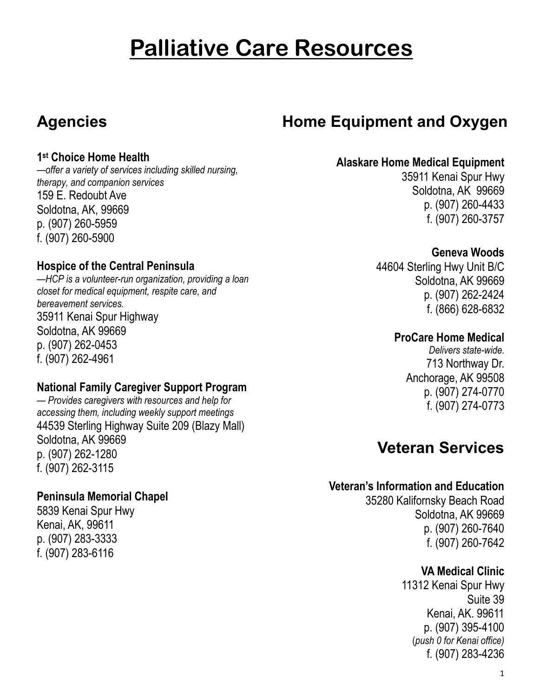# **Palliative Care Resources**

### **Agencies**

### **Home Equipment and Oxygen**

#### **1 st Choice Home Health**

*—offer a variety of services including skilled nursing, therapy, and companion services* 159 E. Redoubt Ave Soldotna, AK, 99669 p. (907) 260-5959 f. (907) 260-5900

#### **Hospice of the Central Peninsula**

—*HCP is a volunteer-run organization, providing a loan closet for medical equipment, respite care, and bereavement services.* 35911 Kenai Spur Highway Soldotna, AK 99669 p. (907) 262-0453 f. (907) 262-4961

#### **National Family Caregiver Support Program**

*— Provides caregivers with resources and help for accessing them, including weekly support meetings* 44539 Sterling Highway Suite 209 (Blazy Mall) Soldotna, AK 99669 p. (907) 262-1280 f. (907) 262-3115

#### **Peninsula Memorial Chapel**

5839 Kenai Spur Hwy Kenai, AK, 99611 p. (907) 283-3333 f. (907) 283-6116

#### **Alaskare Home Medical Equipment**

35911 Kenai Spur Hwy Soldotna, AK 99669 p. (907) 260-4433 f. (907) 260-3757

#### **Geneva Woods**

44604 Sterling Hwy Unit B/C Soldotna, AK 99669 p. (907) 262-2424 f. (866) 628-6832

#### **ProCare Home Medical**

*Delivers state-wide.* 713 Northway Dr. Anchorage, AK 99508 p. (907) 274-0770 f. (907) 274-0773

### **Veteran Services**

#### **Veteran's Information and Education**

35280 Kalifornsky Beach Road Soldotna, AK 99669 p. (907) 260-7640 f. (907) 260-7642

#### **VA Medical Clinic**

11312 Kenai Spur Hwy Suite 39 Kenai, AK. 99611 p. (907) 395-4100 (*push 0 for Kenai office)* f. (907) 283-4236